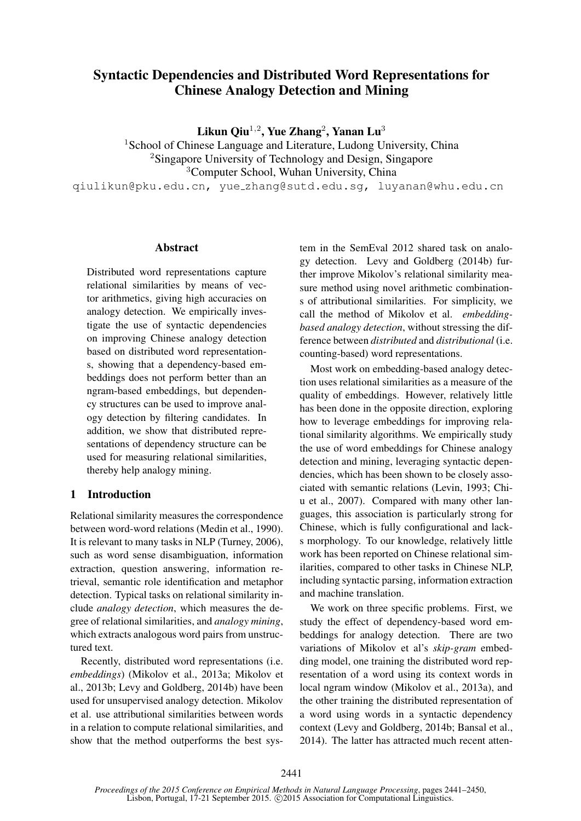# Syntactic Dependencies and Distributed Word Representations for Chinese Analogy Detection and Mining

Likun Qiu $^{1,2}$ , Yue Zhang $^{2}$ , Yanan Lu $^{3}$ 

<sup>1</sup>School of Chinese Language and Literature, Ludong University, China <sup>2</sup>Singapore University of Technology and Design, Singapore <sup>3</sup>Computer School, Wuhan University, China qiulikun@pku.edu.cn, yue zhang@sutd.edu.sg, luyanan@whu.edu.cn

### **Abstract**

Distributed word representations capture relational similarities by means of vector arithmetics, giving high accuracies on analogy detection. We empirically investigate the use of syntactic dependencies on improving Chinese analogy detection based on distributed word representations, showing that a dependency-based embeddings does not perform better than an ngram-based embeddings, but dependency structures can be used to improve analogy detection by filtering candidates. In addition, we show that distributed representations of dependency structure can be used for measuring relational similarities, thereby help analogy mining.

# 1 Introduction

Relational similarity measures the correspondence between word-word relations (Medin et al., 1990). It is relevant to many tasks in NLP (Turney, 2006), such as word sense disambiguation, information extraction, question answering, information retrieval, semantic role identification and metaphor detection. Typical tasks on relational similarity include *analogy detection*, which measures the degree of relational similarities, and *analogy mining*, which extracts analogous word pairs from unstructured text.

Recently, distributed word representations (i.e. *embeddings*) (Mikolov et al., 2013a; Mikolov et al., 2013b; Levy and Goldberg, 2014b) have been used for unsupervised analogy detection. Mikolov et al. use attributional similarities between words in a relation to compute relational similarities, and show that the method outperforms the best system in the SemEval 2012 shared task on analogy detection. Levy and Goldberg (2014b) further improve Mikolov's relational similarity measure method using novel arithmetic combinations of attributional similarities. For simplicity, we call the method of Mikolov et al. *embeddingbased analogy detection*, without stressing the difference between *distributed* and *distributional* (i.e. counting-based) word representations.

Most work on embedding-based analogy detection uses relational similarities as a measure of the quality of embeddings. However, relatively little has been done in the opposite direction, exploring how to leverage embeddings for improving relational similarity algorithms. We empirically study the use of word embeddings for Chinese analogy detection and mining, leveraging syntactic dependencies, which has been shown to be closely associated with semantic relations (Levin, 1993; Chiu et al., 2007). Compared with many other languages, this association is particularly strong for Chinese, which is fully configurational and lacks morphology. To our knowledge, relatively little work has been reported on Chinese relational similarities, compared to other tasks in Chinese NLP, including syntactic parsing, information extraction and machine translation.

We work on three specific problems. First, we study the effect of dependency-based word embeddings for analogy detection. There are two variations of Mikolov et al's *skip-gram* embedding model, one training the distributed word representation of a word using its context words in local ngram window (Mikolov et al., 2013a), and the other training the distributed representation of a word using words in a syntactic dependency context (Levy and Goldberg, 2014b; Bansal et al., 2014). The latter has attracted much recent atten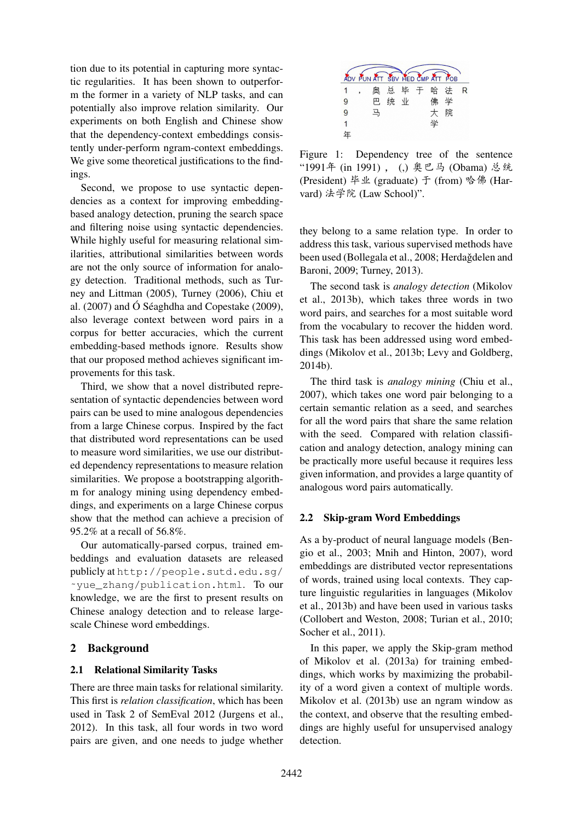tion due to its potential in capturing more syntactic regularities. It has been shown to outperform the former in a variety of NLP tasks, and can potentially also improve relation similarity. Our experiments on both English and Chinese show that the dependency-context embeddings consistently under-perform ngram-context embeddings. We give some theoretical justifications to the findings.

Second, we propose to use syntactic dependencies as a context for improving embeddingbased analogy detection, pruning the search space and filtering noise using syntactic dependencies. While highly useful for measuring relational similarities, attributional similarities between words are not the only source of information for analogy detection. Traditional methods, such as Turney and Littman (2005), Turney (2006), Chiu et al.  $(2007)$  and Ó Séaghdha and Copestake  $(2009)$ , also leverage context between word pairs in a corpus for better accuracies, which the current embedding-based methods ignore. Results show that our proposed method achieves significant improvements for this task.

Third, we show that a novel distributed representation of syntactic dependencies between word pairs can be used to mine analogous dependencies from a large Chinese corpus. Inspired by the fact that distributed word representations can be used to measure word similarities, we use our distributed dependency representations to measure relation similarities. We propose a bootstrapping algorithm for analogy mining using dependency embeddings, and experiments on a large Chinese corpus show that the method can achieve a precision of 95.2% at a recall of 56.8%.

Our automatically-parsed corpus, trained embeddings and evaluation datasets are released publicly at http://people.sutd.edu.sg/ ˜yue\_zhang/publication.html. To our knowledge, we are the first to present results on Chinese analogy detection and to release largescale Chinese word embeddings.

# 2 Background

# 2.1 Relational Similarity Tasks

There are three main tasks for relational similarity. This first is *relation classification*, which has been used in Task 2 of SemEval 2012 (Jurgens et al., 2012). In this task, all four words in two word pairs are given, and one needs to judge whether



Figure 1: Dependency tree of the sentence "1991年 (in 1991), (,) 奥巴马 (Obama) 总统 (President) 毕业 (graduate) 于 (from) 哈佛 (Harvard) 法学院 (Law School)".

they belong to a same relation type. In order to address this task, various supervised methods have been used (Bollegala et al., 2008; Herdağdelen and Baroni, 2009; Turney, 2013).

The second task is *analogy detection* (Mikolov et al., 2013b), which takes three words in two word pairs, and searches for a most suitable word from the vocabulary to recover the hidden word. This task has been addressed using word embeddings (Mikolov et al., 2013b; Levy and Goldberg, 2014b).

The third task is *analogy mining* (Chiu et al., 2007), which takes one word pair belonging to a certain semantic relation as a seed, and searches for all the word pairs that share the same relation with the seed. Compared with relation classification and analogy detection, analogy mining can be practically more useful because it requires less given information, and provides a large quantity of analogous word pairs automatically.

#### 2.2 Skip-gram Word Embeddings

As a by-product of neural language models (Bengio et al., 2003; Mnih and Hinton, 2007), word embeddings are distributed vector representations of words, trained using local contexts. They capture linguistic regularities in languages (Mikolov et al., 2013b) and have been used in various tasks (Collobert and Weston, 2008; Turian et al., 2010; Socher et al., 2011).

In this paper, we apply the Skip-gram method of Mikolov et al. (2013a) for training embeddings, which works by maximizing the probability of a word given a context of multiple words. Mikolov et al. (2013b) use an ngram window as the context, and observe that the resulting embeddings are highly useful for unsupervised analogy detection.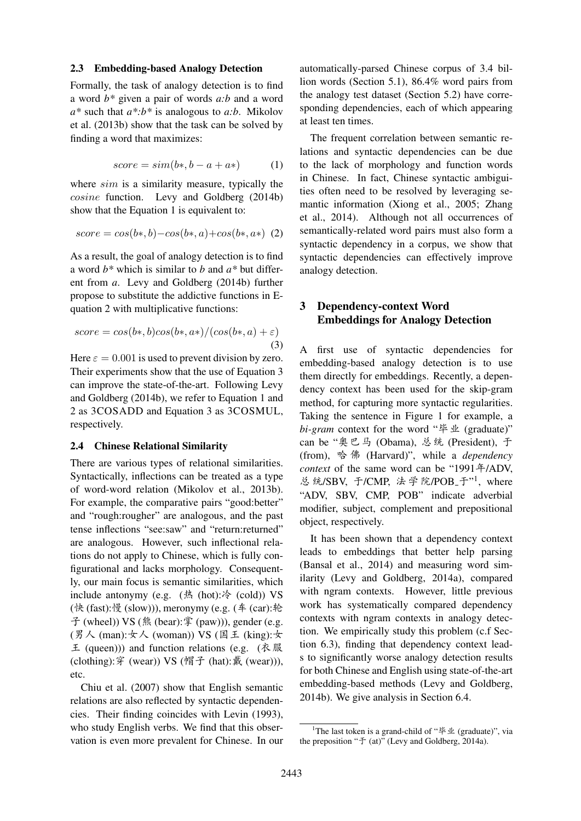#### 2.3 Embedding-based Analogy Detection

Formally, the task of analogy detection is to find a word *b\** given a pair of words *a:b* and a word *a\** such that *a\*:b\** is analogous to *a:b*. Mikolov et al. (2013b) show that the task can be solved by finding a word that maximizes:

$$
score = sim(b*, b - a + a*)
$$
 (1)

where  $sim$  is a similarity measure, typically the cosine function. Levy and Goldberg (2014b) show that the Equation 1 is equivalent to:

$$
score = cos(b*, b) - cos(b*, a) + cos(b*, a*)
$$
 (2)

As a result, the goal of analogy detection is to find a word *b\** which is similar to *b* and *a\** but different from *a*. Levy and Goldberg (2014b) further propose to substitute the addictive functions in Equation 2 with multiplicative functions:

$$
score = cos(b*, b)cos(b*, a*)/(cos(b*, a) + \varepsilon)
$$
\n(3)

Here  $\varepsilon = 0.001$  is used to prevent division by zero. Their experiments show that the use of Equation 3 can improve the state-of-the-art. Following Levy and Goldberg (2014b), we refer to Equation 1 and 2 as 3COSADD and Equation 3 as 3COSMUL, respectively.

#### 2.4 Chinese Relational Similarity

There are various types of relational similarities. Syntactically, inflections can be treated as a type of word-word relation (Mikolov et al., 2013b). For example, the comparative pairs "good:better" and "rough:rougher" are analogous, and the past tense inflections "see:saw" and "return:returned" are analogous. However, such inflectional relations do not apply to Chinese, which is fully configurational and lacks morphology. Consequently, our main focus is semantic similarities, which include antonymy (e.g.  $(\frac{1}{2} \text{ (hot)};\frac{1}{2} \text{ (cold)})$  VS  $(\forall k$  (fast): 慢 (slow))), meronymy (e.g.  $(\notin (car): \&$  $\hat{\mathcal{F}}$  (wheel)) VS (熊 (bear):掌 (paw))), gender (e.g. (男人 (man):  $\pm \wedge$  (woman)) VS (国王 (king):  $\pm$  $\pm$  (queen))) and function relations (e.g. ( $\overline{\uparrow}$  )  $\mathbb{R}$ (clothing):  $\hat{F}$  (wear)) VS (帽子 (hat): 戴 (wear))), etc.

Chiu et al. (2007) show that English semantic relations are also reflected by syntactic dependencies. Their finding coincides with Levin (1993), who study English verbs. We find that this observation is even more prevalent for Chinese. In our automatically-parsed Chinese corpus of 3.4 billion words (Section 5.1), 86.4% word pairs from the analogy test dataset (Section 5.2) have corresponding dependencies, each of which appearing at least ten times.

The frequent correlation between semantic relations and syntactic dependencies can be due to the lack of morphology and function words in Chinese. In fact, Chinese syntactic ambiguities often need to be resolved by leveraging semantic information (Xiong et al., 2005; Zhang et al., 2014). Although not all occurrences of semantically-related word pairs must also form a syntactic dependency in a corpus, we show that syntactic dependencies can effectively improve analogy detection.

# 3 Dependency-context Word Embeddings for Analogy Detection

A first use of syntactic dependencies for embedding-based analogy detection is to use them directly for embeddings. Recently, a dependency context has been used for the skip-gram method, for capturing more syntactic regularities. Taking the sentence in Figure 1 for example, a *bi-gram* context for the word " $\frac{4}{7}$   $\frac{1}{10}$  (graduate)" can be "奥巴马 (Obama), 总统 (President), 于 (from), M Ã (Harvard)", while a *dependency context* of the same word can be "1991年/ADV, 总统/SBV, 于/CMP, 法学院/POB\_于"1, where "ADV, SBV, CMP, POB" indicate adverbial modifier, subject, complement and prepositional object, respectively.

It has been shown that a dependency context leads to embeddings that better help parsing (Bansal et al., 2014) and measuring word similarity (Levy and Goldberg, 2014a), compared with ngram contexts. However, little previous work has systematically compared dependency contexts with ngram contexts in analogy detection. We empirically study this problem (c.f Section 6.3), finding that dependency context leads to significantly worse analogy detection results for both Chinese and English using state-of-the-art embedding-based methods (Levy and Goldberg, 2014b). We give analysis in Section 6.4.

<sup>&</sup>lt;sup>1</sup>The last token is a grand-child of " $\frac{4}{3}$  (graduate)", via the preposition " $\pm$  (at)" (Levy and Goldberg, 2014a).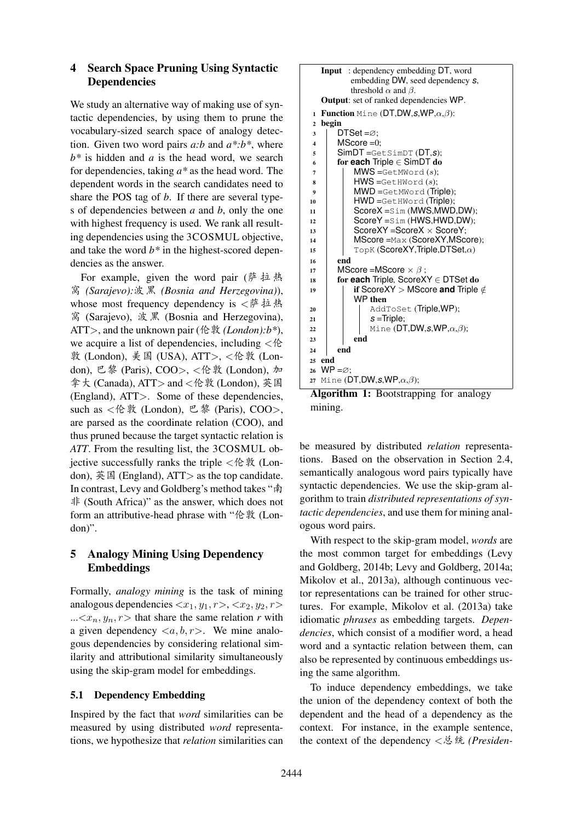# 4 Search Space Pruning Using Syntactic Dependencies

We study an alternative way of making use of syntactic dependencies, by using them to prune the vocabulary-sized search space of analogy detection. Given two word pairs *a:b* and *a\*:b\**, where *b\** is hidden and *a* is the head word, we search for dependencies, taking *a\** as the head word. The dependent words in the search candidates need to share the POS tag of *b*. If there are several types of dependencies between *a* and *b*, only the one with highest frequency is used. We rank all resulting dependencies using the 3COSMUL objective, and take the word *b\** in the highest-scored dependencies as the answer.

For example, given the word pair ( $\ddot{p}$   $\ddot{p}$   $\ddot{p}$   $\ddot{p}$ ¶ *(Sarajevo):*ÅÁ *(Bosnia and Herzegovina)*), whose most frequency dependency is  $\langle \mathcal{F}^{\#} \nmid \mathcal{F}^{\#} \rangle$ ¶ (Sarajevo), ÅÁ (Bosnia and Herzegovina), ATT>, and the unknown pair (伦敦 (*London*): $b^*$ ), we acquire a list of dependencies, including  $\langle \mathcal{E} \rangle$ 敦 (London), 美国 (USA), ATT>,  $\lt$ 伦敦 (London), 巴黎 (Paris), COO>, < 伦敦 (London), 加 拿大 (Canada), ATT > and < 伦敦 (London), 英国 (England), ATT>. Some of these dependencies, such as  $<$  伦敦 (London), 巴黎 (Paris), COO>, are parsed as the coordinate relation (COO), and thus pruned because the target syntactic relation is *ATT*. From the resulting list, the 3COSMUL obiective successfully ranks the triple  $\langle \hat{E} \rangle$  (London),  $\ddot{\text{\#}}$  Equal England), ATT > as the top candidate. In contrast, Levy and Goldberg's method takes "南 非 (South Africa)" as the answer, which does not form an attributive-head phrase with "伦敦 (London)".

# 5 Analogy Mining Using Dependency Embeddings

Formally, *analogy mining* is the task of mining analogous dependencies  $\langle x_1, y_1, r \rangle$ ,  $\langle x_2, y_2, r \rangle$ ... $\langle x_n, y_n, r \rangle$  that share the same relation *r* with a given dependency  $\langle a, b, r \rangle$ . We mine analogous dependencies by considering relational similarity and attributional similarity simultaneously using the skip-gram model for embeddings.

# 5.1 Dependency Embedding

Inspired by the fact that *word* similarities can be measured by using distributed *word* representations, we hypothesize that *relation* similarities can



Algorithm 1: Bootstrapping for analogy mining.

be measured by distributed *relation* representations. Based on the observation in Section 2.4, semantically analogous word pairs typically have syntactic dependencies. We use the skip-gram algorithm to train *distributed representations of syntactic dependencies*, and use them for mining analogous word pairs.

With respect to the skip-gram model, *words* are the most common target for embeddings (Levy and Goldberg, 2014b; Levy and Goldberg, 2014a; Mikolov et al., 2013a), although continuous vector representations can be trained for other structures. For example, Mikolov et al. (2013a) take idiomatic *phrases* as embedding targets. *Dependencies*, which consist of a modifier word, a head word and a syntactic relation between them, can also be represented by continuous embeddings using the same algorithm.

To induce dependency embeddings, we take the union of the dependency context of both the dependent and the head of a dependency as the context. For instance, in the example sentence, the context of the dependency <总统 (Presiden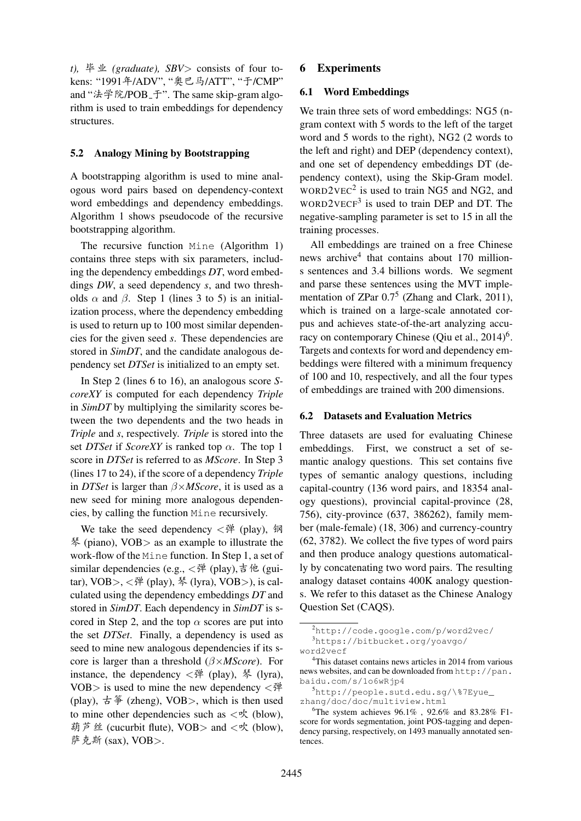$t$ ),  $\frac{16}{7} \pm \frac{16}{16}$  (graduate), SBV > consists of four tokens: "1991年/ADV", "奥巴马/ATT", "于/CMP" and "法学院/POB\_于". The same skip-gram algorithm is used to train embeddings for dependency structures.

### 5.2 Analogy Mining by Bootstrapping

A bootstrapping algorithm is used to mine analogous word pairs based on dependency-context word embeddings and dependency embeddings. Algorithm 1 shows pseudocode of the recursive bootstrapping algorithm.

The recursive function Mine (Algorithm 1) contains three steps with six parameters, including the dependency embeddings *DT*, word embeddings *DW*, a seed dependency *s*, and two thresholds  $\alpha$  and  $\beta$ . Step 1 (lines 3 to 5) is an initialization process, where the dependency embedding is used to return up to 100 most similar dependencies for the given seed *s*. These dependencies are stored in *SimDT*, and the candidate analogous dependency set *DTSet* is initialized to an empty set.

In Step 2 (lines 6 to 16), an analogous score *ScoreXY* is computed for each dependency *Triple* in *SimDT* by multiplying the similarity scores between the two dependents and the two heads in *Triple* and *s*, respectively. *Triple* is stored into the set *DTSet* if *ScoreXY* is ranked top  $\alpha$ . The top 1 score in *DTSet* is referred to as *MScore*. In Step 3 (lines 17 to 24), if the score of a dependency *Triple* in *DTSet* is larger than β×*MScore*, it is used as a new seed for mining more analogous dependencies, by calling the function Mine recursively.

We take the seed dependency  $\langle \vec{P}^{\mu}$  (play),  $\hat{\varnothing}$ å (piano), VOB> as an example to illustrate the work-flow of the Mine function. In Step 1, a set of similar dependencies (e.g.,  $\langle \vec{P} \rangle$  (play),  $\dot{\vec{B}}$   $\hat{P}$  (guitar),  $VOB$ >,  $\langle \dot{\mathcal{P}}$  (play),  $\frac{1}{2}$  (lyra),  $VOB$ >), is calculated using the dependency embeddings *DT* and stored in *SimDT*. Each dependency in *SimDT* is scored in Step 2, and the top  $\alpha$  scores are put into the set *DTSet*. Finally, a dependency is used as seed to mine new analogous dependencies if its score is larger than a threshold (β×*MScore*). For instance, the dependency  $\langle \dot{\mathcal{P}}^{\mu}$  (play), 琴 (lyra), VOB $>$  is used to mine the new dependency  $\langle \vec{r} \rangle$ (play),  $\pm \frac{26}{7}$  (zheng), VOB >, which is then used to mine other dependencies such as  $\langle \phi \rangle$  (blow), 葫芦丝 (cucurbit flute), VOB > and < <del>v</del> (blow), 萨克斯 (sax), VOB>.

#### 6 Experiments

### 6.1 Word Embeddings

We train three sets of word embeddings: NG5 (ngram context with 5 words to the left of the target word and 5 words to the right), NG2 (2 words to the left and right) and DEP (dependency context), and one set of dependency embeddings DT (dependency context), using the Skip-Gram model.  $WORD2VEC<sup>2</sup>$  is used to train NG5 and NG2, and WORD2VECF<sup>3</sup> is used to train DEP and DT. The negative-sampling parameter is set to 15 in all the training processes.

All embeddings are trained on a free Chinese news archive<sup>4</sup> that contains about 170 millions sentences and 3.4 billions words. We segment and parse these sentences using the MVT implementation of ZPar 0.7<sup>5</sup> (Zhang and Clark, 2011), which is trained on a large-scale annotated corpus and achieves state-of-the-art analyzing accuracy on contemporary Chinese (Qiu et al.,  $2014$ <sup>6</sup>. Targets and contexts for word and dependency embeddings were filtered with a minimum frequency of 100 and 10, respectively, and all the four types of embeddings are trained with 200 dimensions.

# 6.2 Datasets and Evaluation Metrics

Three datasets are used for evaluating Chinese embeddings. First, we construct a set of semantic analogy questions. This set contains five types of semantic analogy questions, including capital-country (136 word pairs, and 18354 analogy questions), provincial capital-province (28, 756), city-province (637, 386262), family member (male-female) (18, 306) and currency-country (62, 3782). We collect the five types of word pairs and then produce analogy questions automatically by concatenating two word pairs. The resulting analogy dataset contains 400K analogy questions. We refer to this dataset as the Chinese Analogy Question Set (CAQS).

<sup>2</sup>http://code.google.com/p/word2vec/ <sup>3</sup>https://bitbucket.org/yoavgo/

word2vecf

<sup>&</sup>lt;sup>4</sup>This dataset contains news articles in 2014 from various news websites, and can be downloaded from http://pan. baidu.com/s/1o6wRjp4

<sup>5</sup>http://people.sutd.edu.sg/\%7Eyue\_ zhang/doc/doc/multiview.html

<sup>&</sup>lt;sup>6</sup>The system achieves  $96.1\%$ ,  $92.6\%$  and  $83.28\%$  F1score for words segmentation, joint POS-tagging and dependency parsing, respectively, on 1493 manually annotated sentences.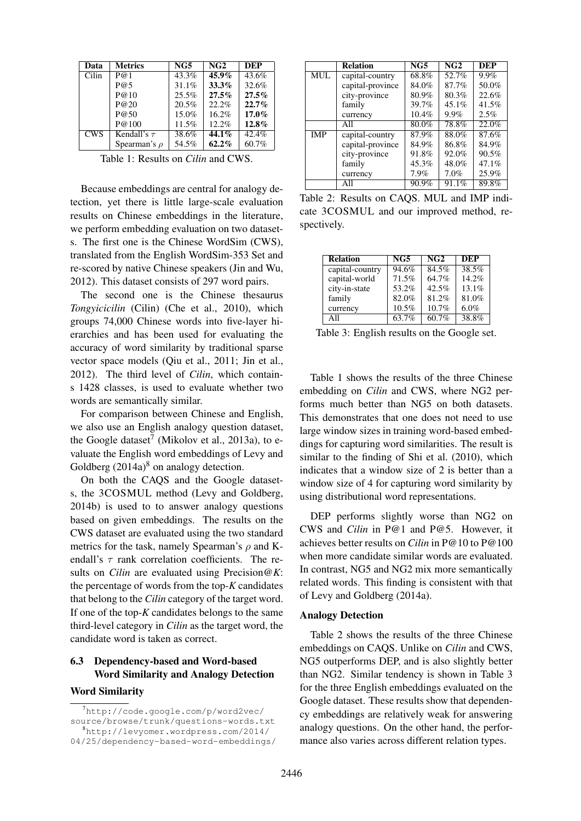| Data       | <b>Metrics</b>    | NG5      | NG2      | <b>DEP</b> |
|------------|-------------------|----------|----------|------------|
| Cilin      | P@1               | $43.3\%$ | $45.9\%$ | $43.6\%$   |
|            | P@5               | 31.1%    | 33.3%    | 32.6%      |
|            | P@10              | 25.5%    | 27.5%    | 27.5%      |
|            | P@20              | 20.5%    | 22.2%    | 22.7%      |
|            | P@50              | 15.0%    | 16.2%    | $17.0\%$   |
|            | P@100             | 11.5%    | 12.2%    | 12.8%      |
| <b>CWS</b> | Kendall's $\tau$  | 38.6%    | $44.1\%$ | 42.4%      |
|            | Spearman's $\rho$ | 54.5%    | $62.2\%$ | 60.7%      |

Table 1: Results on *Cilin* and CWS.

Because embeddings are central for analogy detection, yet there is little large-scale evaluation results on Chinese embeddings in the literature, we perform embedding evaluation on two datasets. The first one is the Chinese WordSim (CWS), translated from the English WordSim-353 Set and re-scored by native Chinese speakers (Jin and Wu, 2012). This dataset consists of 297 word pairs.

The second one is the Chinese thesaurus *Tongyicicilin* (Cilin) (Che et al., 2010), which groups 74,000 Chinese words into five-layer hierarchies and has been used for evaluating the accuracy of word similarity by traditional sparse vector space models (Qiu et al., 2011; Jin et al., 2012). The third level of *Cilin*, which contains 1428 classes, is used to evaluate whether two words are semantically similar.

For comparison between Chinese and English, we also use an English analogy question dataset, the Google dataset<sup>7</sup> (Mikolov et al., 2013a), to evaluate the English word embeddings of Levy and Goldberg  $(2014a)^8$  on analogy detection.

On both the CAQS and the Google datasets, the 3COSMUL method (Levy and Goldberg, 2014b) is used to to answer analogy questions based on given embeddings. The results on the CWS dataset are evaluated using the two standard metrics for the task, namely Spearman's  $\rho$  and Kendall's  $\tau$  rank correlation coefficients. The results on *Cilin* are evaluated using Precision@*K*: the percentage of words from the top-*K* candidates that belong to the *Cilin* category of the target word. If one of the top-*K* candidates belongs to the same third-level category in *Cilin* as the target word, the candidate word is taken as correct.

### 6.3 Dependency-based and Word-based Word Similarity and Analogy Detection

#### Word Similarity

|            | <b>Relation</b>  | $\overline{\text{NG5}}$ | $\overline{\text{NG2}}$ | <b>DEP</b> |
|------------|------------------|-------------------------|-------------------------|------------|
| <b>MUL</b> | capital-country  | 68.8%                   | 52.7%                   | 9.9%       |
|            | capital-province | 84.0%                   | 87.7%                   | 50.0%      |
|            | city-province    | 80.9%                   | 80.3%                   | 22.6%      |
|            | family           | 39.7%                   | $45.1\%$                | 41.5%      |
|            | currency         | 10.4%                   | $9.9\%$                 | $2.5\%$    |
|            | All              | 80.0%                   | 78.8%                   | 22.0%      |
| <b>IMP</b> | capital-country  | 87.9%                   | 88.0%                   | 87.6%      |
|            | capital-province | 84.9%                   | 86.8%                   | 84.9%      |
|            | city-province    | 91.8%                   | 92.0%                   | 90.5%      |
|            | family           | 45.3%                   | 48.0%                   | 47.1%      |
|            | currency         | 7.9%                    | $7.0\%$                 | 25.9%      |
|            | All              | 90.9%                   | 91.1%                   | 89.8%      |

Table 2: Results on CAQS. MUL and IMP indicate 3COSMUL and our improved method, respectively.

| <b>Relation</b> | NG5   | NG2   | DEP   |
|-----------------|-------|-------|-------|
| capital-country | 94.6% | 84.5% | 38.5% |
| capital-world   | 71.5% | 64.7% | 14.2% |
| city-in-state   | 53.2% | 42.5% | 13.1% |
| family          | 82.0% | 81.2% | 81.0% |
| currency        | 10.5% | 10.7% | 6.0%  |
| All             | 63.7% | 60.7% | 38.8% |

Table 3: English results on the Google set.

Table 1 shows the results of the three Chinese embedding on *Cilin* and CWS, where NG2 performs much better than NG5 on both datasets. This demonstrates that one does not need to use large window sizes in training word-based embeddings for capturing word similarities. The result is similar to the finding of Shi et al. (2010), which indicates that a window size of 2 is better than a window size of 4 for capturing word similarity by using distributional word representations.

DEP performs slightly worse than NG2 on CWS and *Cilin* in P@1 and P@5. However, it achieves better results on *Cilin* in P@10 to P@100 when more candidate similar words are evaluated. In contrast, NG5 and NG2 mix more semantically related words. This finding is consistent with that of Levy and Goldberg (2014a).

#### Analogy Detection

Table 2 shows the results of the three Chinese embeddings on CAQS. Unlike on *Cilin* and CWS, NG5 outperforms DEP, and is also slightly better than NG2. Similar tendency is shown in Table 3 for the three English embeddings evaluated on the Google dataset. These results show that dependency embeddings are relatively weak for answering analogy questions. On the other hand, the performance also varies across different relation types.

 $7$ http://code.google.com/p/word2vec/ source/browse/trunk/questions-words.txt <sup>8</sup>http://levyomer.wordpress.com/2014/ 04/25/dependency-based-word-embeddings/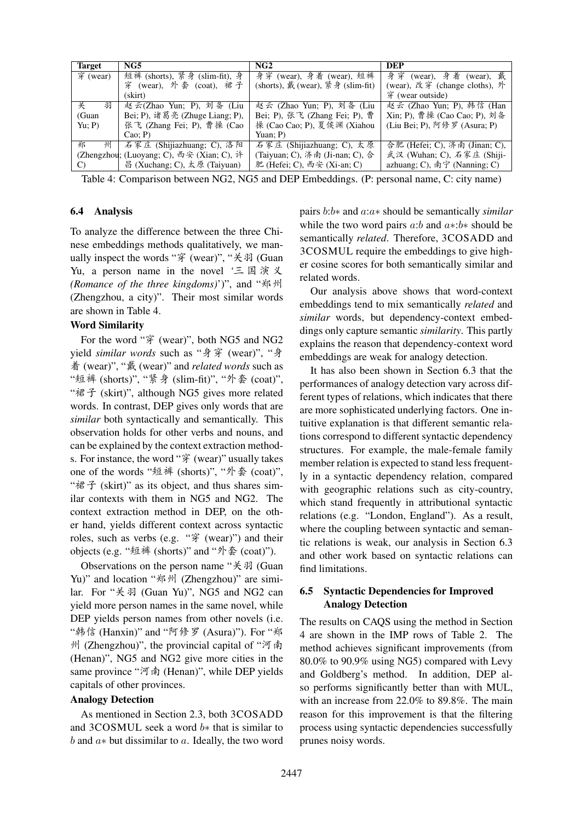| <b>Target</b>                   | NG5                                       | NG2                               | DEP                           |
|---------------------------------|-------------------------------------------|-----------------------------------|-------------------------------|
| $\overline{\mathcal{F}}$ (wear) | 短裤 (shorts), 紧身 (slim-fit), 身             | 身穿 (wear), 身着 (wear), 短裤          | (wear), 身着 (wear), 戴<br>身穿    |
|                                 | 穿 (wear), 外套 (coat), 裙子                   | (shorts), 戴 (wear), 紧身 (slim-fit) | (wear), 改穿 (change cloths), 外 |
|                                 | (skirt)                                   |                                   | 穿 (wear outside)              |
| 关<br>羽                          | 赵云(Zhao Yun; P), 刘备 (Liu                  | 赵云 (Zhao Yun; P), 刘备 (Liu         | 赵云 (Zhao Yun; P), 韩信 (Han     |
| (Guan                           | Bei; P), 诸葛亮 (Zhuge Liang; P),            | Bei; P), 张飞 (Zhang Fei; P), 曹     | Xin; P), 曹操 (Cao Cao; P), 刘备  |
| Yu; P                           | 张飞 (Zhang Fei; P), 曹操 (Cao                | 操 (Cao Cao; P), 夏侯渊 (Xiahou       | (Liu Bei; P), 阿修罗 (Asura; P)  |
|                                 | $Cao$ ; P)                                | Yuan; P)                          |                               |
| 郑<br>州                          | 石家庄 (Shijiazhuang; C), 洛阳                 | 石家庄 (Shijiazhuang; C), 太原         | 合肥 (Hefei; C), 济南 (Jinan; C), |
|                                 | (Zhengzhou; (Luoyang; C), 西安 (Xian; C), 许 | (Taiyuan; C), 济南 (Ji-nan; C), 合   | 武汉 (Wuhan; C), 石家庄 (Shiji-    |
| $\mathcal{C}$                   | 昌 (Xuchang; C), 太原 (Taiyuan)              | 肥 (Hefei; C), 西安 (Xi-an; C)       | azhuang; C), 南宁 (Nanning; C)  |

Table 4: Comparison between NG2, NG5 and DEP Embeddings. (P: personal name, C: city name)

### 6.4 Analysis

To analyze the difference between the three Chinese embeddings methods qualitatively, we manually inspect the words "穿 (wear)", "关羽 (Guan Yu, a person name in the novel '三国演义 *(Romance of the three kingdoms)')"*, and "郑州 (Zhengzhou, a city)". Their most similar words are shown in Table 4.

#### Word Similarity

For the word "穿 (wear)", both NG5 and NG2 yield *similar words* such as "身穿 (wear)", "身  $\text{\AA}$  (wear)", "戴 (wear)" and *related words* such as "短裤 (shorts)", "紧身 (slim-fit)", "外套 (coat)", "裙子 (skirt)", although NG5 gives more related words. In contrast, DEP gives only words that are *similar* both syntactically and semantically. This observation holds for other verbs and nouns, and can be explained by the context extraction methods. For instance, the word " $\hat{\mathcal{F}}$  (wear)" usually takes one of the words "短裤 (shorts)", "外套 (coat)", " $\mathcal{E}$  (skirt)" as its object, and thus shares similar contexts with them in NG5 and NG2. The context extraction method in DEP, on the other hand, yields different context across syntactic roles, such as verbs (e.g. " $\hat{\mathcal{F}}$  (wear)") and their objects (e.g. "短裤 (shorts)" and "外套 (coat)").

Observations on the person name " $\hat{\mathcal{F}}$  #31 (Guan Yu)" and location "郑州 (Zhengzhou)" are similar. For "关羽 (Guan Yu)", NG5 and NG2 can yield more person names in the same novel, while DEP yields person names from other novels (i.e. "韩信 (Hanxin)" and "阿修罗 (Asura)"). For "郑 州 (Zhengzhou)", the provincial capital of "河南 (Henan)", NG5 and NG2 give more cities in the same province "河南 (Henan)", while DEP yields capitals of other provinces.

#### Analogy Detection

As mentioned in Section 2.3, both 3COSADD and 3COSMUL seek a word b∗ that is similar to  $b$  and  $a*$  but dissimilar to  $a$ . Ideally, the two word

pairs b:b∗ and a:a∗ should be semantically *similar* while the two word pairs a:b and  $a*:b*$  should be semantically *related*. Therefore, 3COSADD and 3COSMUL require the embeddings to give higher cosine scores for both semantically similar and related words.

Our analysis above shows that word-context embeddings tend to mix semantically *related* and *similar* words, but dependency-context embeddings only capture semantic *similarity*. This partly explains the reason that dependency-context word embeddings are weak for analogy detection.

It has also been shown in Section 6.3 that the performances of analogy detection vary across different types of relations, which indicates that there are more sophisticated underlying factors. One intuitive explanation is that different semantic relations correspond to different syntactic dependency structures. For example, the male-female family member relation is expected to stand less frequently in a syntactic dependency relation, compared with geographic relations such as city-country, which stand frequently in attributional syntactic relations (e.g. "London, England"). As a result, where the coupling between syntactic and semantic relations is weak, our analysis in Section 6.3 and other work based on syntactic relations can find limitations.

# 6.5 Syntactic Dependencies for Improved Analogy Detection

The results on CAQS using the method in Section 4 are shown in the IMP rows of Table 2. The method achieves significant improvements (from 80.0% to 90.9% using NG5) compared with Levy and Goldberg's method. In addition, DEP also performs significantly better than with MUL, with an increase from 22.0% to 89.8%. The main reason for this improvement is that the filtering process using syntactic dependencies successfully prunes noisy words.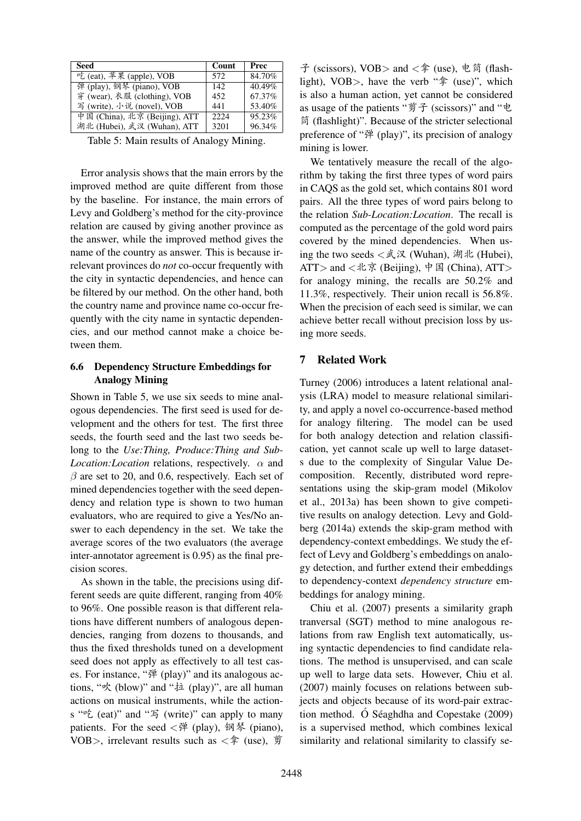| Seed                          | Count | Prec   |
|-------------------------------|-------|--------|
| 吃 (eat), 苹果 (apple), VOB      | 572   | 84.70% |
| 弹 (play), 钢琴 (piano), VOB     | 142   | 40.49% |
| 穿 (wear), 衣服 (clothing), VOB  | 452   | 67.37% |
| 写 (write), 小说 (novel), VOB    | 441   | 53.40% |
| 中国 (China), 北京 (Beijing), ATT | 2224  | 95.23% |
| 湖北 (Hubei), 武汉 (Wuhan), ATT   | 3201  | 96.34% |

Table 5: Main results of Analogy Mining.

Error analysis shows that the main errors by the improved method are quite different from those by the baseline. For instance, the main errors of Levy and Goldberg's method for the city-province relation are caused by giving another province as the answer, while the improved method gives the name of the country as answer. This is because irrelevant provinces do *not* co-occur frequently with the city in syntactic dependencies, and hence can be filtered by our method. On the other hand, both the country name and province name co-occur frequently with the city name in syntactic dependencies, and our method cannot make a choice between them.

# 6.6 Dependency Structure Embeddings for Analogy Mining

Shown in Table 5, we use six seeds to mine analogous dependencies. The first seed is used for development and the others for test. The first three seeds, the fourth seed and the last two seeds belong to the *Use:Thing, Produce:Thing and Sub-Location:Location* relations, respectively. α and  $\beta$  are set to 20, and 0.6, respectively. Each set of mined dependencies together with the seed dependency and relation type is shown to two human evaluators, who are required to give a Yes/No answer to each dependency in the set. We take the average scores of the two evaluators (the average inter-annotator agreement is 0.95) as the final precision scores.

As shown in the table, the precisions using different seeds are quite different, ranging from 40% to 96%. One possible reason is that different relations have different numbers of analogous dependencies, ranging from dozens to thousands, and thus the fixed thresholds tuned on a development seed does not apply as effectively to all test cases. For instance, "弹 (play)" and its analogous actions, " $\mathcal{R}$  (blow)" and " $\ddot{\mathcal{P}}$  (play)", are all human actions on musical instruments, while the actions " $E$  (eat)" and " $E$  (write)" can apply to many patients. For the seed  $\langle \vec{P}^{\sharp} \rangle$  (play), 钢琴 (piano), VOB>, irrelevant results such as  $\langle \hat{\mathbb{F}}$  (use),  $\hat{\mathbb{F}}$ 

子 (scissors), VOB > and < $\hat{\mathcal{F}}$  (use), 电筒 (flashlight), VOB $>$ , have the verb " $*$  (use)", which is also a human action, yet cannot be considered as usage of the patients "剪子 (scissors)" and "电 简 (flashlight)". Because of the stricter selectional preference of " $\mathcal{P}$ " (play)", its precision of analogy mining is lower.

We tentatively measure the recall of the algorithm by taking the first three types of word pairs in CAQS as the gold set, which contains 801 word pairs. All the three types of word pairs belong to the relation *Sub-Location:Location*. The recall is computed as the percentage of the gold word pairs covered by the mined dependencies. When using the two seeds  $\langle \text{R } \mathfrak{R} \times \mathfrak{R} \rangle$  (Wuhan), 湖北 (Hubei), ATT> and <北京 (Beijing), 中国 (China), ATT> for analogy mining, the recalls are 50.2% and 11.3%, respectively. Their union recall is 56.8%. When the precision of each seed is similar, we can achieve better recall without precision loss by using more seeds.

# 7 Related Work

Turney (2006) introduces a latent relational analysis (LRA) model to measure relational similarity, and apply a novel co-occurrence-based method for analogy filtering. The model can be used for both analogy detection and relation classification, yet cannot scale up well to large datasets due to the complexity of Singular Value Decomposition. Recently, distributed word representations using the skip-gram model (Mikolov et al., 2013a) has been shown to give competitive results on analogy detection. Levy and Goldberg (2014a) extends the skip-gram method with dependency-context embeddings. We study the effect of Levy and Goldberg's embeddings on analogy detection, and further extend their embeddings to dependency-context *dependency structure* embeddings for analogy mining.

Chiu et al. (2007) presents a similarity graph tranversal (SGT) method to mine analogous relations from raw English text automatically, using syntactic dependencies to find candidate relations. The method is unsupervised, and can scale up well to large data sets. However, Chiu et al. (2007) mainly focuses on relations between subjects and objects because of its word-pair extraction method. Ó Séaghdha and Copestake  $(2009)$ is a supervised method, which combines lexical similarity and relational similarity to classify se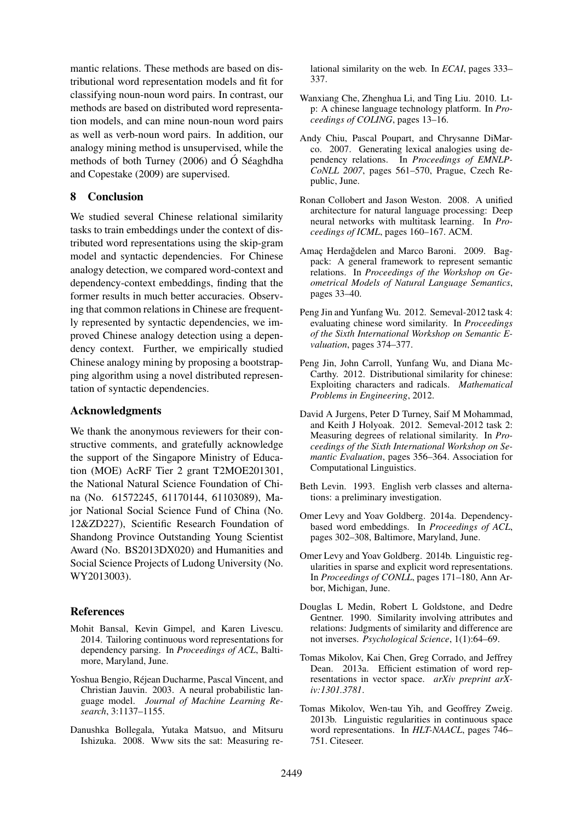mantic relations. These methods are based on distributional word representation models and fit for classifying noun-noun word pairs. In contrast, our methods are based on distributed word representation models, and can mine noun-noun word pairs as well as verb-noun word pairs. In addition, our analogy mining method is unsupervised, while the methods of both Turney  $(2006)$  and O Séaghdha and Copestake (2009) are supervised.

# 8 Conclusion

We studied several Chinese relational similarity tasks to train embeddings under the context of distributed word representations using the skip-gram model and syntactic dependencies. For Chinese analogy detection, we compared word-context and dependency-context embeddings, finding that the former results in much better accuracies. Observing that common relations in Chinese are frequently represented by syntactic dependencies, we improved Chinese analogy detection using a dependency context. Further, we empirically studied Chinese analogy mining by proposing a bootstrapping algorithm using a novel distributed representation of syntactic dependencies.

# Acknowledgments

We thank the anonymous reviewers for their constructive comments, and gratefully acknowledge the support of the Singapore Ministry of Education (MOE) AcRF Tier 2 grant T2MOE201301, the National Natural Science Foundation of China (No. 61572245, 61170144, 61103089), Major National Social Science Fund of China (No. 12&ZD227), Scientific Research Foundation of Shandong Province Outstanding Young Scientist Award (No. BS2013DX020) and Humanities and Social Science Projects of Ludong University (No. WY2013003).

#### References

- Mohit Bansal, Kevin Gimpel, and Karen Livescu. 2014. Tailoring continuous word representations for dependency parsing. In *Proceedings of ACL*, Baltimore, Maryland, June.
- Yoshua Bengio, Rejean Ducharme, Pascal Vincent, and ´ Christian Jauvin. 2003. A neural probabilistic language model. *Journal of Machine Learning Research*, 3:1137–1155.
- Danushka Bollegala, Yutaka Matsuo, and Mitsuru Ishizuka. 2008. Www sits the sat: Measuring re-

lational similarity on the web. In *ECAI*, pages 333– 337.

- Wanxiang Che, Zhenghua Li, and Ting Liu. 2010. Ltp: A chinese language technology platform. In *Proceedings of COLING*, pages 13–16.
- Andy Chiu, Pascal Poupart, and Chrysanne DiMarco. 2007. Generating lexical analogies using dependency relations. In *Proceedings of EMNLP-CoNLL 2007*, pages 561–570, Prague, Czech Republic, June.
- Ronan Collobert and Jason Weston. 2008. A unified architecture for natural language processing: Deep neural networks with multitask learning. In *Proceedings of ICML*, pages 160–167. ACM.
- Amaç Herdağdelen and Marco Baroni. 2009. Bagpack: A general framework to represent semantic relations. In *Proceedings of the Workshop on Geometrical Models of Natural Language Semantics*, pages 33–40.
- Peng Jin and Yunfang Wu. 2012. Semeval-2012 task 4: evaluating chinese word similarity. In *Proceedings of the Sixth International Workshop on Semantic Evaluation*, pages 374–377.
- Peng Jin, John Carroll, Yunfang Wu, and Diana Mc-Carthy. 2012. Distributional similarity for chinese: Exploiting characters and radicals. *Mathematical Problems in Engineering*, 2012.
- David A Jurgens, Peter D Turney, Saif M Mohammad, and Keith J Holyoak. 2012. Semeval-2012 task 2: Measuring degrees of relational similarity. In *Proceedings of the Sixth International Workshop on Semantic Evaluation*, pages 356–364. Association for Computational Linguistics.
- Beth Levin. 1993. English verb classes and alternations: a preliminary investigation.
- Omer Levy and Yoav Goldberg. 2014a. Dependencybased word embeddings. In *Proceedings of ACL*, pages 302–308, Baltimore, Maryland, June.
- Omer Levy and Yoav Goldberg. 2014b. Linguistic regularities in sparse and explicit word representations. In *Proceedings of CONLL*, pages 171–180, Ann Arbor, Michigan, June.
- Douglas L Medin, Robert L Goldstone, and Dedre Gentner. 1990. Similarity involving attributes and relations: Judgments of similarity and difference are not inverses. *Psychological Science*, 1(1):64–69.
- Tomas Mikolov, Kai Chen, Greg Corrado, and Jeffrey Dean. 2013a. Efficient estimation of word representations in vector space. *arXiv preprint arXiv:1301.3781*.
- Tomas Mikolov, Wen-tau Yih, and Geoffrey Zweig. 2013b. Linguistic regularities in continuous space word representations. In *HLT-NAACL*, pages 746– 751. Citeseer.